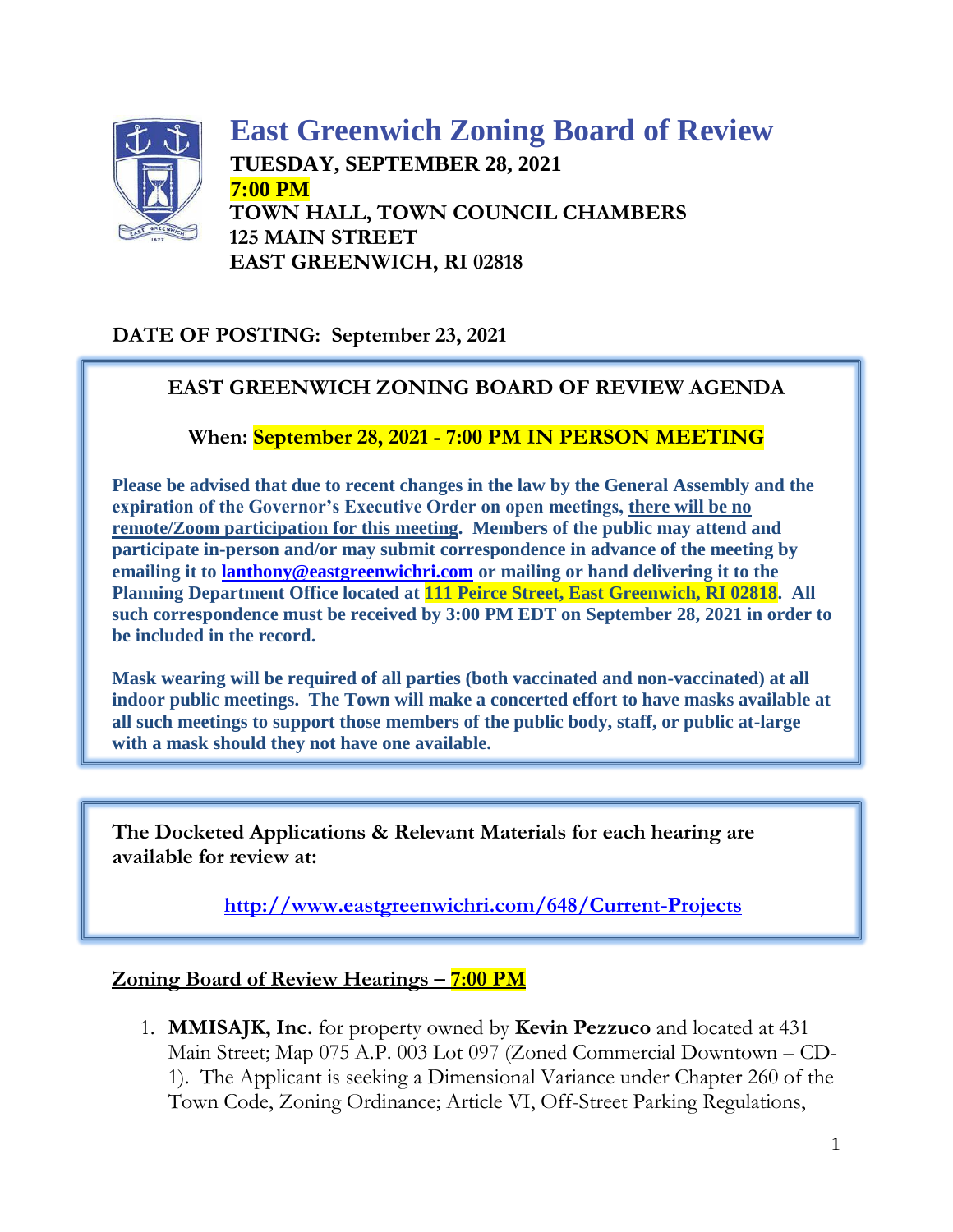

**East Greenwich Zoning Board of Review TUESDAY, SEPTEMBER 28, 2021 7:00 PM TOWN HALL, TOWN COUNCIL CHAMBERS 125 MAIN STREET EAST GREENWICH, RI 02818**

### **DATE OF POSTING: September 23, 2021**

### **EAST GREENWICH ZONING BOARD OF REVIEW AGENDA**

### **When: September 28, 2021 - 7:00 PM IN PERSON MEETING**

**Please be advised that due to recent changes in the law by the General Assembly and the expiration of the Governor's Executive Order on open meetings, there will be no remote/Zoom participation for this meeting. Members of the public may attend and participate in-person and/or may submit correspondence in advance of the meeting by emailing it to [lanthony@eastgreenwichri.com](mailto:lanthony@eastgreenwichri.com) or mailing or hand delivering it to the Planning Department Office located at 111 Peirce Street, East Greenwich, RI 02818. All such correspondence must be received by 3:00 PM EDT on September 28, 2021 in order to be included in the record.**

**Mask wearing will be required of all parties (both vaccinated and non-vaccinated) at all indoor public meetings. The Town will make a concerted effort to have masks available at all such meetings to support those members of the public body, staff, or public at-large with a mask should they not have one available.**

**The Docketed Applications & Relevant Materials for each hearing are available for review at:**

**<http://www.eastgreenwichri.com/648/Current-Projects>**

#### **Zoning Board of Review Hearings – 7:00 PM**

1. **MMISAJK, Inc.** for property owned by **Kevin Pezzuco** and located at 431 Main Street; Map 075 A.P. 003 Lot 097 (Zoned Commercial Downtown – CD-1). The Applicant is seeking a Dimensional Variance under Chapter 260 of the Town Code, Zoning Ordinance; Article VI, Off-Street Parking Regulations,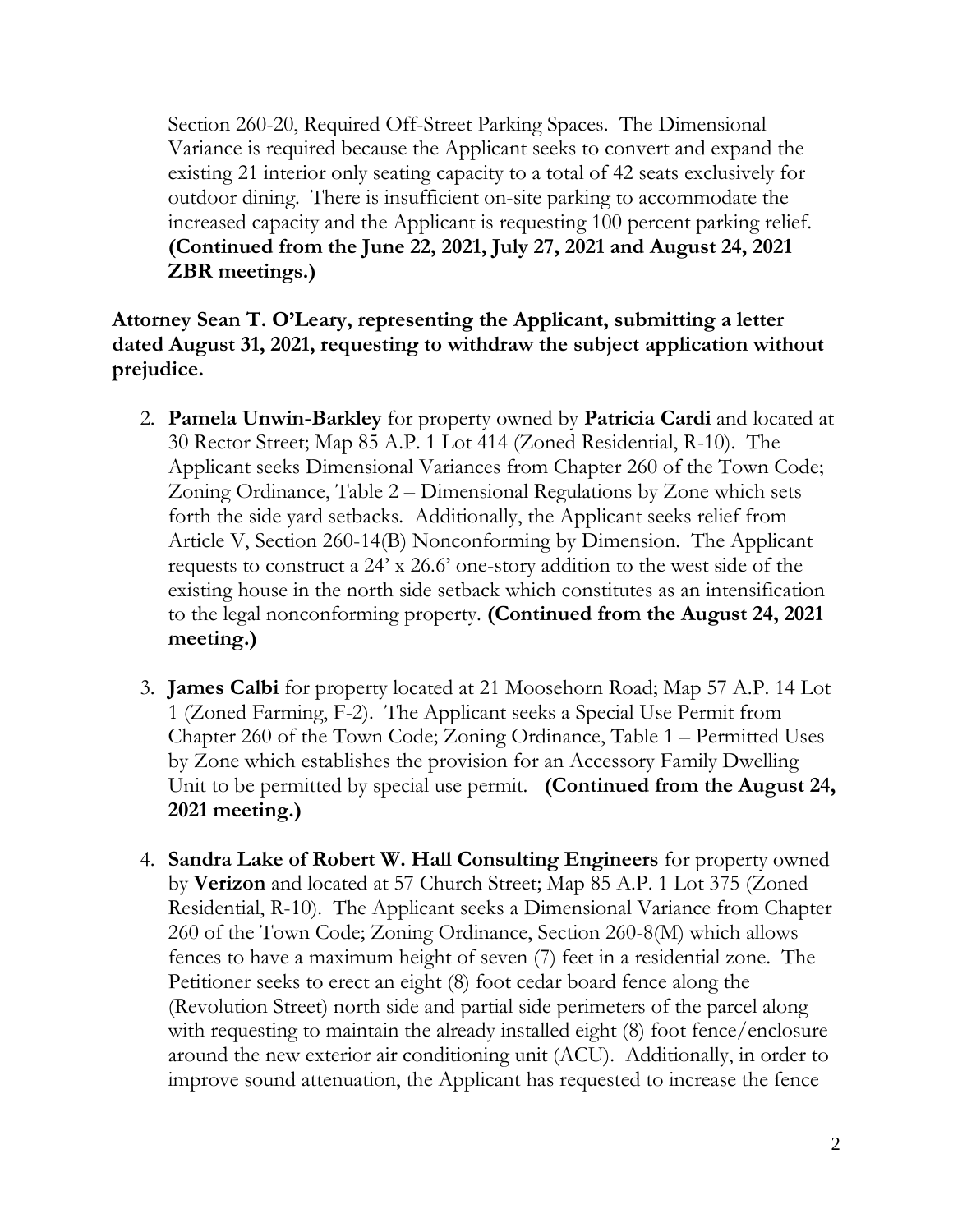Section 260-20, Required Off-Street Parking Spaces. The Dimensional Variance is required because the Applicant seeks to convert and expand the existing 21 interior only seating capacity to a total of 42 seats exclusively for outdoor dining. There is insufficient on-site parking to accommodate the increased capacity and the Applicant is requesting 100 percent parking relief. **(Continued from the June 22, 2021, July 27, 2021 and August 24, 2021 ZBR meetings.)**

**Attorney Sean T. O'Leary, representing the Applicant, submitting a letter dated August 31, 2021, requesting to withdraw the subject application without prejudice.** 

- 2. **Pamela Unwin-Barkley** for property owned by **Patricia Cardi** and located at 30 Rector Street; Map 85 A.P. 1 Lot 414 (Zoned Residential, R-10). The Applicant seeks Dimensional Variances from Chapter 260 of the Town Code; Zoning Ordinance, Table 2 – Dimensional Regulations by Zone which sets forth the side yard setbacks. Additionally, the Applicant seeks relief from Article V, Section 260-14(B) Nonconforming by Dimension. The Applicant requests to construct a 24' x 26.6' one-story addition to the west side of the existing house in the north side setback which constitutes as an intensification to the legal nonconforming property. **(Continued from the August 24, 2021 meeting.)**
- 3. **James Calbi** for property located at 21 Moosehorn Road; Map 57 A.P. 14 Lot 1 (Zoned Farming, F-2). The Applicant seeks a Special Use Permit from Chapter 260 of the Town Code; Zoning Ordinance, Table 1 – Permitted Uses by Zone which establishes the provision for an Accessory Family Dwelling Unit to be permitted by special use permit. **(Continued from the August 24, 2021 meeting.)**
- 4. **Sandra Lake of Robert W. Hall Consulting Engineers** for property owned by **Verizon** and located at 57 Church Street; Map 85 A.P. 1 Lot 375 (Zoned Residential, R-10). The Applicant seeks a Dimensional Variance from Chapter 260 of the Town Code; Zoning Ordinance, Section 260-8(M) which allows fences to have a maximum height of seven (7) feet in a residential zone. The Petitioner seeks to erect an eight (8) foot cedar board fence along the (Revolution Street) north side and partial side perimeters of the parcel along with requesting to maintain the already installed eight (8) foot fence/enclosure around the new exterior air conditioning unit (ACU). Additionally, in order to improve sound attenuation, the Applicant has requested to increase the fence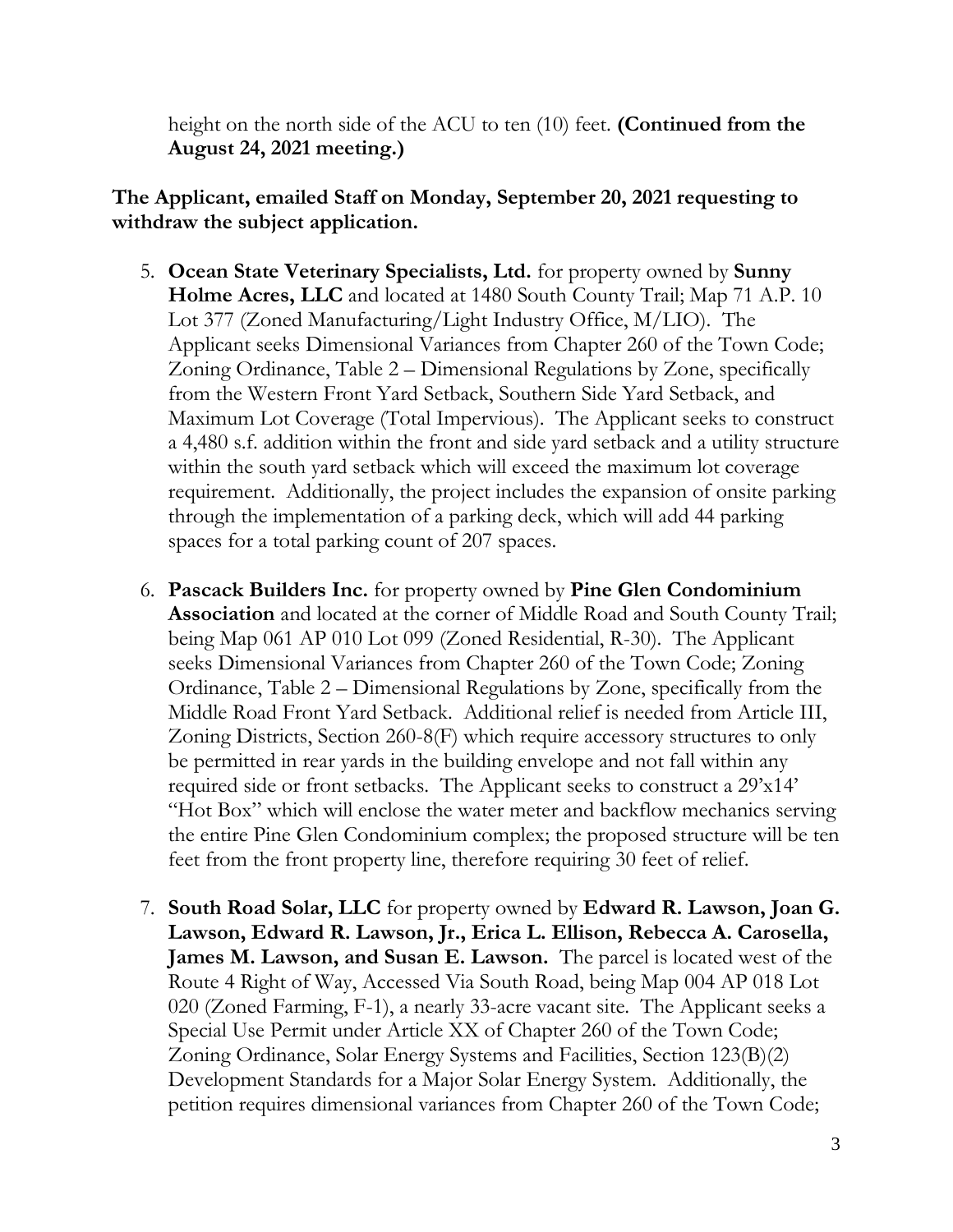height on the north side of the ACU to ten (10) feet. **(Continued from the August 24, 2021 meeting.)**

**The Applicant, emailed Staff on Monday, September 20, 2021 requesting to withdraw the subject application.**

- 5. **Ocean State Veterinary Specialists, Ltd.** for property owned by **Sunny Holme Acres, LLC** and located at 1480 South County Trail; Map 71 A.P. 10 Lot 377 (Zoned Manufacturing/Light Industry Office, M/LIO). The Applicant seeks Dimensional Variances from Chapter 260 of the Town Code; Zoning Ordinance, Table 2 – Dimensional Regulations by Zone, specifically from the Western Front Yard Setback, Southern Side Yard Setback, and Maximum Lot Coverage (Total Impervious). The Applicant seeks to construct a 4,480 s.f. addition within the front and side yard setback and a utility structure within the south yard setback which will exceed the maximum lot coverage requirement. Additionally, the project includes the expansion of onsite parking through the implementation of a parking deck, which will add 44 parking spaces for a total parking count of 207 spaces.
- 6. **Pascack Builders Inc.** for property owned by **Pine Glen Condominium Association** and located at the corner of Middle Road and South County Trail; being Map 061 AP 010 Lot 099 (Zoned Residential, R-30). The Applicant seeks Dimensional Variances from Chapter 260 of the Town Code; Zoning Ordinance, Table 2 – Dimensional Regulations by Zone, specifically from the Middle Road Front Yard Setback. Additional relief is needed from Article III, Zoning Districts, Section 260-8(F) which require accessory structures to only be permitted in rear yards in the building envelope and not fall within any required side or front setbacks. The Applicant seeks to construct a 29'x14' "Hot Box" which will enclose the water meter and backflow mechanics serving the entire Pine Glen Condominium complex; the proposed structure will be ten feet from the front property line, therefore requiring 30 feet of relief.
- 7. **South Road Solar, LLC** for property owned by **Edward R. Lawson, Joan G. Lawson, Edward R. Lawson, Jr., Erica L. Ellison, Rebecca A. Carosella, James M. Lawson, and Susan E. Lawson.** The parcel is located west of the Route 4 Right of Way, Accessed Via South Road, being Map 004 AP 018 Lot 020 (Zoned Farming, F-1), a nearly 33-acre vacant site. The Applicant seeks a Special Use Permit under Article XX of Chapter 260 of the Town Code; Zoning Ordinance, Solar Energy Systems and Facilities, Section 123(B)(2) Development Standards for a Major Solar Energy System. Additionally, the petition requires dimensional variances from Chapter 260 of the Town Code;